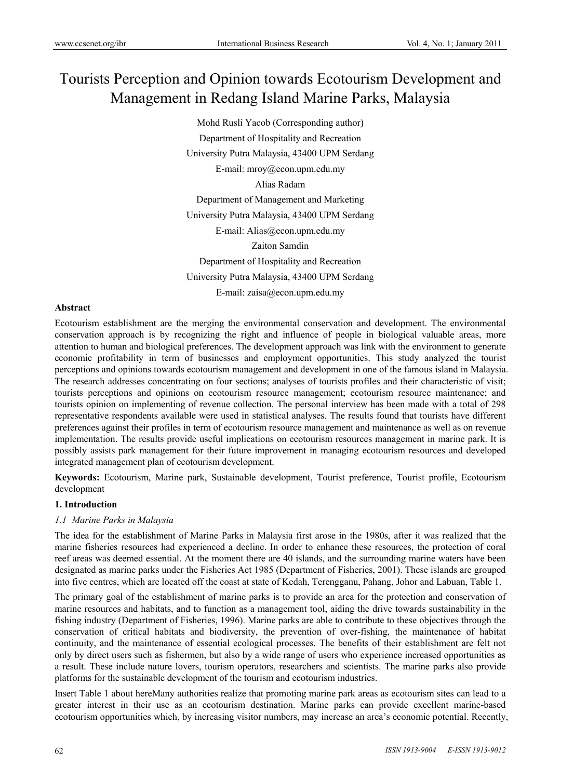# Tourists Perception and Opinion towards Ecotourism Development and Management in Redang Island Marine Parks, Malaysia

Mohd Rusli Yacob (Corresponding author) Department of Hospitality and Recreation University Putra Malaysia, 43400 UPM Serdang E-mail: mroy@econ.upm.edu.my Alias Radam Department of Management and Marketing University Putra Malaysia, 43400 UPM Serdang E-mail: Alias@econ.upm.edu.my Zaiton Samdin Department of Hospitality and Recreation University Putra Malaysia, 43400 UPM Serdang E-mail: zaisa@econ.upm.edu.my

## **Abstract**

Ecotourism establishment are the merging the environmental conservation and development. The environmental conservation approach is by recognizing the right and influence of people in biological valuable areas, more attention to human and biological preferences. The development approach was link with the environment to generate economic profitability in term of businesses and employment opportunities. This study analyzed the tourist perceptions and opinions towards ecotourism management and development in one of the famous island in Malaysia. The research addresses concentrating on four sections; analyses of tourists profiles and their characteristic of visit; tourists perceptions and opinions on ecotourism resource management; ecotourism resource maintenance; and tourists opinion on implementing of revenue collection. The personal interview has been made with a total of 298 representative respondents available were used in statistical analyses. The results found that tourists have different preferences against their profiles in term of ecotourism resource management and maintenance as well as on revenue implementation. The results provide useful implications on ecotourism resources management in marine park. It is possibly assists park management for their future improvement in managing ecotourism resources and developed integrated management plan of ecotourism development.

**Keywords:** Ecotourism, Marine park, Sustainable development, Tourist preference, Tourist profile, Ecotourism development

## **1. Introduction**

# *1.1 Marine Parks in Malaysia*

The idea for the establishment of Marine Parks in Malaysia first arose in the 1980s, after it was realized that the marine fisheries resources had experienced a decline. In order to enhance these resources, the protection of coral reef areas was deemed essential. At the moment there are 40 islands, and the surrounding marine waters have been designated as marine parks under the Fisheries Act 1985 (Department of Fisheries, 2001). These islands are grouped into five centres, which are located off the coast at state of Kedah, Terengganu, Pahang, Johor and Labuan, Table 1.

The primary goal of the establishment of marine parks is to provide an area for the protection and conservation of marine resources and habitats, and to function as a management tool, aiding the drive towards sustainability in the fishing industry (Department of Fisheries, 1996). Marine parks are able to contribute to these objectives through the conservation of critical habitats and biodiversity, the prevention of over-fishing, the maintenance of habitat continuity, and the maintenance of essential ecological processes. The benefits of their establishment are felt not only by direct users such as fishermen, but also by a wide range of users who experience increased opportunities as a result. These include nature lovers, tourism operators, researchers and scientists. The marine parks also provide platforms for the sustainable development of the tourism and ecotourism industries.

Insert Table 1 about hereMany authorities realize that promoting marine park areas as ecotourism sites can lead to a greater interest in their use as an ecotourism destination. Marine parks can provide excellent marine-based ecotourism opportunities which, by increasing visitor numbers, may increase an area's economic potential. Recently,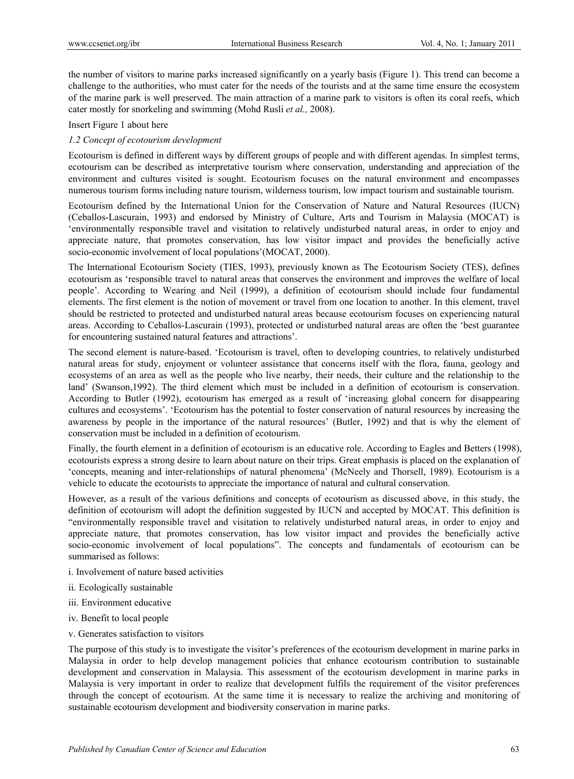the number of visitors to marine parks increased significantly on a yearly basis (Figure 1). This trend can become a challenge to the authorities, who must cater for the needs of the tourists and at the same time ensure the ecosystem of the marine park is well preserved. The main attraction of a marine park to visitors is often its coral reefs, which cater mostly for snorkeling and swimming (Mohd Rusli *et al.,* 2008).

## Insert Figure 1 about here

## *1.2 Concept of ecotourism development*

Ecotourism is defined in different ways by different groups of people and with different agendas. In simplest terms, ecotourism can be described as interpretative tourism where conservation, understanding and appreciation of the environment and cultures visited is sought. Ecotourism focuses on the natural environment and encompasses numerous tourism forms including nature tourism, wilderness tourism, low impact tourism and sustainable tourism.

Ecotourism defined by the International Union for the Conservation of Nature and Natural Resources (IUCN) (Ceballos-Lascurain, 1993) and endorsed by Ministry of Culture, Arts and Tourism in Malaysia (MOCAT) is 'environmentally responsible travel and visitation to relatively undisturbed natural areas, in order to enjoy and appreciate nature, that promotes conservation, has low visitor impact and provides the beneficially active socio-economic involvement of local populations'(MOCAT, 2000).

The International Ecotourism Society (TIES, 1993), previously known as The Ecotourism Society (TES), defines ecotourism as 'responsible travel to natural areas that conserves the environment and improves the welfare of local people'. According to Wearing and Neil (1999), a definition of ecotourism should include four fundamental elements. The first element is the notion of movement or travel from one location to another. In this element, travel should be restricted to protected and undisturbed natural areas because ecotourism focuses on experiencing natural areas. According to Ceballos-Lascurain (1993), protected or undisturbed natural areas are often the 'best guarantee for encountering sustained natural features and attractions'.

The second element is nature-based. 'Ecotourism is travel, often to developing countries, to relatively undisturbed natural areas for study, enjoyment or volunteer assistance that concerns itself with the flora, fauna, geology and ecosystems of an area as well as the people who live nearby, their needs, their culture and the relationship to the land' (Swanson,1992). The third element which must be included in a definition of ecotourism is conservation. According to Butler (1992), ecotourism has emerged as a result of 'increasing global concern for disappearing cultures and ecosystems'. 'Ecotourism has the potential to foster conservation of natural resources by increasing the awareness by people in the importance of the natural resources' (Butler, 1992) and that is why the element of conservation must be included in a definition of ecotourism.

Finally, the fourth element in a definition of ecotourism is an educative role. According to Eagles and Betters (1998), ecotourists express a strong desire to learn about nature on their trips. Great emphasis is placed on the explanation of 'concepts, meaning and inter-relationships of natural phenomena' (McNeely and Thorsell, 1989). Ecotourism is a vehicle to educate the ecotourists to appreciate the importance of natural and cultural conservation.

However, as a result of the various definitions and concepts of ecotourism as discussed above, in this study, the definition of ecotourism will adopt the definition suggested by IUCN and accepted by MOCAT. This definition is "environmentally responsible travel and visitation to relatively undisturbed natural areas, in order to enjoy and appreciate nature, that promotes conservation, has low visitor impact and provides the beneficially active socio-economic involvement of local populations". The concepts and fundamentals of ecotourism can be summarised as follows:

- i. Involvement of nature based activities
- ii. Ecologically sustainable
- iii. Environment educative
- iv. Benefit to local people
- v. Generates satisfaction to visitors

The purpose of this study is to investigate the visitor's preferences of the ecotourism development in marine parks in Malaysia in order to help develop management policies that enhance ecotourism contribution to sustainable development and conservation in Malaysia. This assessment of the ecotourism development in marine parks in Malaysia is very important in order to realize that development fulfils the requirement of the visitor preferences through the concept of ecotourism. At the same time it is necessary to realize the archiving and monitoring of sustainable ecotourism development and biodiversity conservation in marine parks.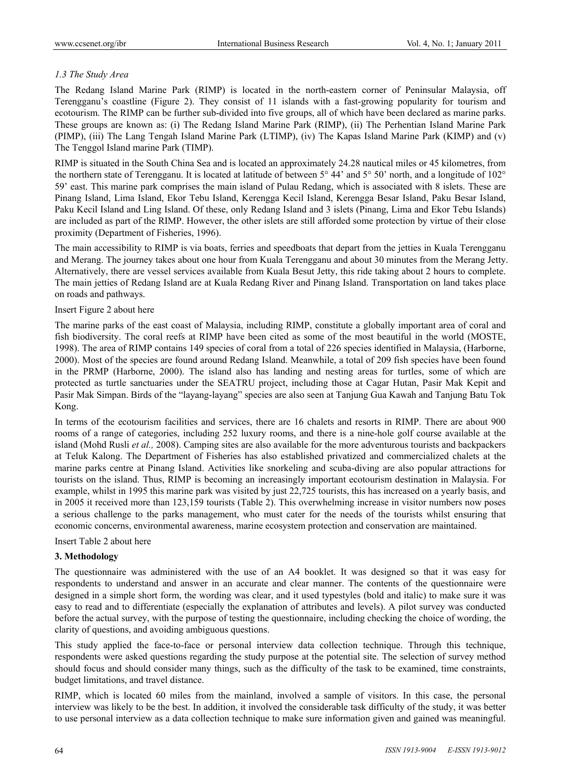## *1.3 The Study Area*

The Redang Island Marine Park (RIMP) is located in the north-eastern corner of Peninsular Malaysia, off Terengganu's coastline (Figure 2). They consist of 11 islands with a fast-growing popularity for tourism and ecotourism. The RIMP can be further sub-divided into five groups, all of which have been declared as marine parks. These groups are known as: (i) The Redang Island Marine Park (RIMP), (ii) The Perhentian Island Marine Park (PIMP), (iii) The Lang Tengah Island Marine Park (LTIMP), (iv) The Kapas Island Marine Park (KIMP) and (v) The Tenggol Island marine Park (TIMP).

RIMP is situated in the South China Sea and is located an approximately 24.28 nautical miles or 45 kilometres, from the northern state of Terengganu. It is located at latitude of between 5° 44' and 5° 50' north, and a longitude of 102° 59' east. This marine park comprises the main island of Pulau Redang, which is associated with 8 islets. These are Pinang Island, Lima Island, Ekor Tebu Island, Kerengga Kecil Island, Kerengga Besar Island, Paku Besar Island, Paku Kecil Island and Ling Island. Of these, only Redang Island and 3 islets (Pinang, Lima and Ekor Tebu Islands) are included as part of the RIMP. However, the other islets are still afforded some protection by virtue of their close proximity (Department of Fisheries, 1996).

The main accessibility to RIMP is via boats, ferries and speedboats that depart from the jetties in Kuala Terengganu and Merang. The journey takes about one hour from Kuala Terengganu and about 30 minutes from the Merang Jetty. Alternatively, there are vessel services available from Kuala Besut Jetty, this ride taking about 2 hours to complete. The main jetties of Redang Island are at Kuala Redang River and Pinang Island. Transportation on land takes place on roads and pathways.

## Insert Figure 2 about here

The marine parks of the east coast of Malaysia, including RIMP, constitute a globally important area of coral and fish biodiversity. The coral reefs at RIMP have been cited as some of the most beautiful in the world (MOSTE, 1998). The area of RIMP contains 149 species of coral from a total of 226 species identified in Malaysia, (Harborne, 2000). Most of the species are found around Redang Island. Meanwhile, a total of 209 fish species have been found in the PRMP (Harborne, 2000). The island also has landing and nesting areas for turtles, some of which are protected as turtle sanctuaries under the SEATRU project, including those at Cagar Hutan, Pasir Mak Kepit and Pasir Mak Simpan. Birds of the "layang-layang" species are also seen at Tanjung Gua Kawah and Tanjung Batu Tok Kong.

In terms of the ecotourism facilities and services, there are 16 chalets and resorts in RIMP. There are about 900 rooms of a range of categories, including 252 luxury rooms, and there is a nine-hole golf course available at the island (Mohd Rusli *et al.,* 2008). Camping sites are also available for the more adventurous tourists and backpackers at Teluk Kalong. The Department of Fisheries has also established privatized and commercialized chalets at the marine parks centre at Pinang Island. Activities like snorkeling and scuba-diving are also popular attractions for tourists on the island. Thus, RIMP is becoming an increasingly important ecotourism destination in Malaysia. For example, whilst in 1995 this marine park was visited by just 22,725 tourists, this has increased on a yearly basis, and in 2005 it received more than 123,159 tourists (Table 2). This overwhelming increase in visitor numbers now poses a serious challenge to the parks management, who must cater for the needs of the tourists whilst ensuring that economic concerns, environmental awareness, marine ecosystem protection and conservation are maintained.

Insert Table 2 about here

#### **3. Methodology**

The questionnaire was administered with the use of an A4 booklet. It was designed so that it was easy for respondents to understand and answer in an accurate and clear manner. The contents of the questionnaire were designed in a simple short form, the wording was clear, and it used typestyles (bold and italic) to make sure it was easy to read and to differentiate (especially the explanation of attributes and levels). A pilot survey was conducted before the actual survey, with the purpose of testing the questionnaire, including checking the choice of wording, the clarity of questions, and avoiding ambiguous questions.

This study applied the face-to-face or personal interview data collection technique. Through this technique, respondents were asked questions regarding the study purpose at the potential site. The selection of survey method should focus and should consider many things, such as the difficulty of the task to be examined, time constraints, budget limitations, and travel distance.

RIMP, which is located 60 miles from the mainland, involved a sample of visitors. In this case, the personal interview was likely to be the best. In addition, it involved the considerable task difficulty of the study, it was better to use personal interview as a data collection technique to make sure information given and gained was meaningful.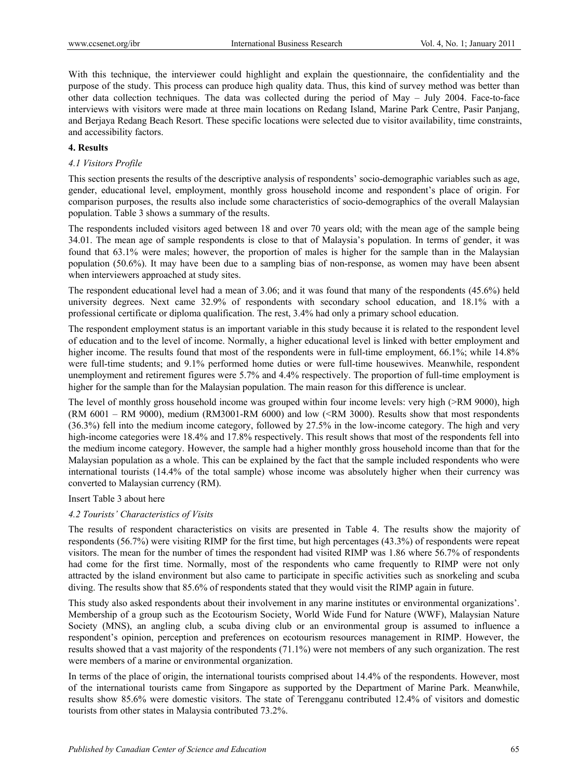With this technique, the interviewer could highlight and explain the questionnaire, the confidentiality and the purpose of the study. This process can produce high quality data. Thus, this kind of survey method was better than other data collection techniques. The data was collected during the period of May – July 2004. Face-to-face interviews with visitors were made at three main locations on Redang Island, Marine Park Centre, Pasir Panjang, and Berjaya Redang Beach Resort. These specific locations were selected due to visitor availability, time constraints, and accessibility factors.

## **4. Results**

## *4.1 Visitors Profile*

This section presents the results of the descriptive analysis of respondents' socio-demographic variables such as age, gender, educational level, employment, monthly gross household income and respondent's place of origin. For comparison purposes, the results also include some characteristics of socio-demographics of the overall Malaysian population. Table 3 shows a summary of the results.

The respondents included visitors aged between 18 and over 70 years old; with the mean age of the sample being 34.01. The mean age of sample respondents is close to that of Malaysia's population. In terms of gender, it was found that 63.1% were males; however, the proportion of males is higher for the sample than in the Malaysian population (50.6%). It may have been due to a sampling bias of non-response, as women may have been absent when interviewers approached at study sites.

The respondent educational level had a mean of 3.06; and it was found that many of the respondents (45.6%) held university degrees. Next came 32.9% of respondents with secondary school education, and 18.1% with a professional certificate or diploma qualification. The rest, 3.4% had only a primary school education.

The respondent employment status is an important variable in this study because it is related to the respondent level of education and to the level of income. Normally, a higher educational level is linked with better employment and higher income. The results found that most of the respondents were in full-time employment, 66.1%; while 14.8% were full-time students; and 9.1% performed home duties or were full-time housewives. Meanwhile, respondent unemployment and retirement figures were 5.7% and 4.4% respectively. The proportion of full-time employment is higher for the sample than for the Malaysian population. The main reason for this difference is unclear.

The level of monthly gross household income was grouped within four income levels: very high (>RM 9000), high (RM 6001 – RM 9000), medium (RM3001-RM 6000) and low (<RM 3000). Results show that most respondents (36.3%) fell into the medium income category, followed by 27.5% in the low-income category. The high and very high-income categories were 18.4% and 17.8% respectively. This result shows that most of the respondents fell into the medium income category. However, the sample had a higher monthly gross household income than that for the Malaysian population as a whole. This can be explained by the fact that the sample included respondents who were international tourists (14.4% of the total sample) whose income was absolutely higher when their currency was converted to Malaysian currency (RM).

#### Insert Table 3 about here

#### *4.2 Tourists' Characteristics of Visits*

The results of respondent characteristics on visits are presented in Table 4. The results show the majority of respondents (56.7%) were visiting RIMP for the first time, but high percentages (43.3%) of respondents were repeat visitors. The mean for the number of times the respondent had visited RIMP was 1.86 where 56.7% of respondents had come for the first time. Normally, most of the respondents who came frequently to RIMP were not only attracted by the island environment but also came to participate in specific activities such as snorkeling and scuba diving. The results show that 85.6% of respondents stated that they would visit the RIMP again in future.

This study also asked respondents about their involvement in any marine institutes or environmental organizations'. Membership of a group such as the Ecotourism Society, World Wide Fund for Nature (WWF), Malaysian Nature Society (MNS), an angling club, a scuba diving club or an environmental group is assumed to influence a respondent's opinion, perception and preferences on ecotourism resources management in RIMP. However, the results showed that a vast majority of the respondents (71.1%) were not members of any such organization. The rest were members of a marine or environmental organization.

In terms of the place of origin, the international tourists comprised about 14.4% of the respondents. However, most of the international tourists came from Singapore as supported by the Department of Marine Park. Meanwhile, results show 85.6% were domestic visitors. The state of Terengganu contributed 12.4% of visitors and domestic tourists from other states in Malaysia contributed 73.2%.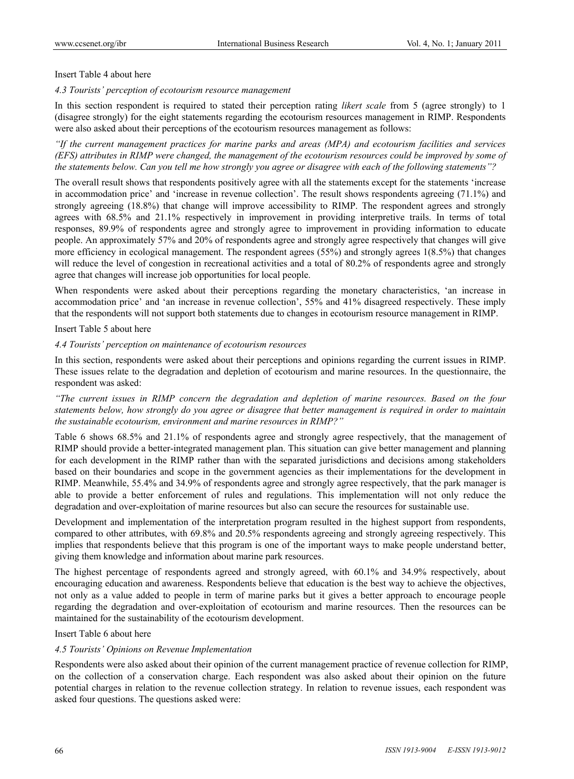## Insert Table 4 about here

## *4.3 Tourists' perception of ecotourism resource management*

In this section respondent is required to stated their perception rating *likert scale* from 5 (agree strongly) to 1 (disagree strongly) for the eight statements regarding the ecotourism resources management in RIMP. Respondents were also asked about their perceptions of the ecotourism resources management as follows:

*"If the current management practices for marine parks and areas (MPA) and ecotourism facilities and services (EFS) attributes in RIMP were changed, the management of the ecotourism resources could be improved by some of the statements below. Can you tell me how strongly you agree or disagree with each of the following statements"?* 

The overall result shows that respondents positively agree with all the statements except for the statements 'increase in accommodation price' and 'increase in revenue collection'. The result shows respondents agreeing (71.1%) and strongly agreeing (18.8%) that change will improve accessibility to RIMP. The respondent agrees and strongly agrees with 68.5% and 21.1% respectively in improvement in providing interpretive trails. In terms of total responses, 89.9% of respondents agree and strongly agree to improvement in providing information to educate people. An approximately 57% and 20% of respondents agree and strongly agree respectively that changes will give more efficiency in ecological management. The respondent agrees (55%) and strongly agrees 1(8.5%) that changes will reduce the level of congestion in recreational activities and a total of 80.2% of respondents agree and strongly agree that changes will increase job opportunities for local people.

When respondents were asked about their perceptions regarding the monetary characteristics, 'an increase in accommodation price' and 'an increase in revenue collection', 55% and 41% disagreed respectively. These imply that the respondents will not support both statements due to changes in ecotourism resource management in RIMP.

#### Insert Table 5 about here

## *4.4 Tourists' perception on maintenance of ecotourism resources*

In this section, respondents were asked about their perceptions and opinions regarding the current issues in RIMP. These issues relate to the degradation and depletion of ecotourism and marine resources. In the questionnaire, the respondent was asked:

*"The current issues in RIMP concern the degradation and depletion of marine resources. Based on the four statements below, how strongly do you agree or disagree that better management is required in order to maintain the sustainable ecotourism, environment and marine resources in RIMP?"* 

Table 6 shows 68.5% and 21.1% of respondents agree and strongly agree respectively, that the management of RIMP should provide a better-integrated management plan. This situation can give better management and planning for each development in the RIMP rather than with the separated jurisdictions and decisions among stakeholders based on their boundaries and scope in the government agencies as their implementations for the development in RIMP. Meanwhile, 55.4% and 34.9% of respondents agree and strongly agree respectively, that the park manager is able to provide a better enforcement of rules and regulations. This implementation will not only reduce the degradation and over-exploitation of marine resources but also can secure the resources for sustainable use.

Development and implementation of the interpretation program resulted in the highest support from respondents, compared to other attributes, with 69.8% and 20.5% respondents agreeing and strongly agreeing respectively. This implies that respondents believe that this program is one of the important ways to make people understand better, giving them knowledge and information about marine park resources.

The highest percentage of respondents agreed and strongly agreed, with 60.1% and 34.9% respectively, about encouraging education and awareness. Respondents believe that education is the best way to achieve the objectives, not only as a value added to people in term of marine parks but it gives a better approach to encourage people regarding the degradation and over-exploitation of ecotourism and marine resources. Then the resources can be maintained for the sustainability of the ecotourism development.

Insert Table 6 about here

## *4.5 Tourists' Opinions on Revenue Implementation*

Respondents were also asked about their opinion of the current management practice of revenue collection for RIMP, on the collection of a conservation charge. Each respondent was also asked about their opinion on the future potential charges in relation to the revenue collection strategy. In relation to revenue issues, each respondent was asked four questions. The questions asked were: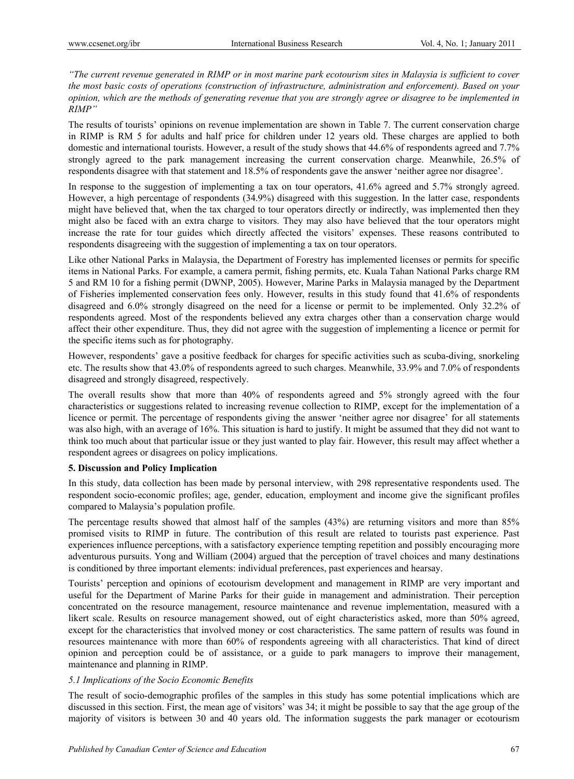*"The current revenue generated in RIMP or in most marine park ecotourism sites in Malaysia is sufficient to cover the most basic costs of operations (construction of infrastructure, administration and enforcement). Based on your opinion, which are the methods of generating revenue that you are strongly agree or disagree to be implemented in RIMP"*

The results of tourists' opinions on revenue implementation are shown in Table 7. The current conservation charge in RIMP is RM 5 for adults and half price for children under 12 years old. These charges are applied to both domestic and international tourists. However, a result of the study shows that 44.6% of respondents agreed and 7.7% strongly agreed to the park management increasing the current conservation charge. Meanwhile, 26.5% of respondents disagree with that statement and 18.5% of respondents gave the answer 'neither agree nor disagree'.

In response to the suggestion of implementing a tax on tour operators, 41.6% agreed and 5.7% strongly agreed. However, a high percentage of respondents (34.9%) disagreed with this suggestion. In the latter case, respondents might have believed that, when the tax charged to tour operators directly or indirectly, was implemented then they might also be faced with an extra charge to visitors. They may also have believed that the tour operators might increase the rate for tour guides which directly affected the visitors' expenses. These reasons contributed to respondents disagreeing with the suggestion of implementing a tax on tour operators.

Like other National Parks in Malaysia, the Department of Forestry has implemented licenses or permits for specific items in National Parks. For example, a camera permit, fishing permits, etc. Kuala Tahan National Parks charge RM 5 and RM 10 for a fishing permit (DWNP, 2005). However, Marine Parks in Malaysia managed by the Department of Fisheries implemented conservation fees only. However, results in this study found that 41.6% of respondents disagreed and 6.0% strongly disagreed on the need for a license or permit to be implemented. Only 32.2% of respondents agreed. Most of the respondents believed any extra charges other than a conservation charge would affect their other expenditure. Thus, they did not agree with the suggestion of implementing a licence or permit for the specific items such as for photography.

However, respondents' gave a positive feedback for charges for specific activities such as scuba-diving, snorkeling etc. The results show that 43.0% of respondents agreed to such charges. Meanwhile, 33.9% and 7.0% of respondents disagreed and strongly disagreed, respectively.

The overall results show that more than 40% of respondents agreed and 5% strongly agreed with the four characteristics or suggestions related to increasing revenue collection to RIMP, except for the implementation of a licence or permit. The percentage of respondents giving the answer 'neither agree nor disagree' for all statements was also high, with an average of 16%. This situation is hard to justify. It might be assumed that they did not want to think too much about that particular issue or they just wanted to play fair. However, this result may affect whether a respondent agrees or disagrees on policy implications.

## **5. Discussion and Policy Implication**

In this study, data collection has been made by personal interview, with 298 representative respondents used. The respondent socio-economic profiles; age, gender, education, employment and income give the significant profiles compared to Malaysia's population profile.

The percentage results showed that almost half of the samples (43%) are returning visitors and more than 85% promised visits to RIMP in future. The contribution of this result are related to tourists past experience. Past experiences influence perceptions, with a satisfactory experience tempting repetition and possibly encouraging more adventurous pursuits. Yong and William (2004) argued that the perception of travel choices and many destinations is conditioned by three important elements: individual preferences, past experiences and hearsay.

Tourists' perception and opinions of ecotourism development and management in RIMP are very important and useful for the Department of Marine Parks for their guide in management and administration. Their perception concentrated on the resource management, resource maintenance and revenue implementation, measured with a likert scale. Results on resource management showed, out of eight characteristics asked, more than 50% agreed, except for the characteristics that involved money or cost characteristics. The same pattern of results was found in resources maintenance with more than 60% of respondents agreeing with all characteristics. That kind of direct opinion and perception could be of assistance, or a guide to park managers to improve their management, maintenance and planning in RIMP.

## *5.1 Implications of the Socio Economic Benefits*

The result of socio-demographic profiles of the samples in this study has some potential implications which are discussed in this section. First, the mean age of visitors' was 34; it might be possible to say that the age group of the majority of visitors is between 30 and 40 years old. The information suggests the park manager or ecotourism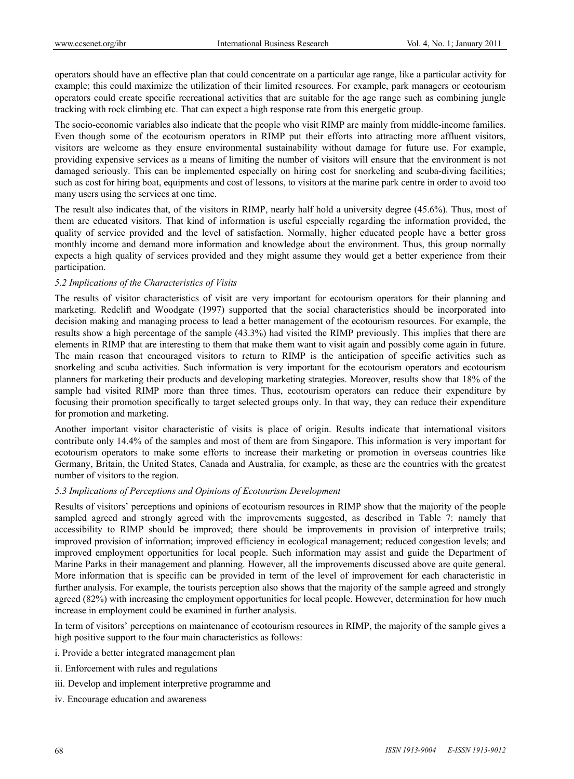operators should have an effective plan that could concentrate on a particular age range, like a particular activity for example; this could maximize the utilization of their limited resources. For example, park managers or ecotourism operators could create specific recreational activities that are suitable for the age range such as combining jungle tracking with rock climbing etc. That can expect a high response rate from this energetic group.

The socio-economic variables also indicate that the people who visit RIMP are mainly from middle-income families. Even though some of the ecotourism operators in RIMP put their efforts into attracting more affluent visitors, visitors are welcome as they ensure environmental sustainability without damage for future use. For example, providing expensive services as a means of limiting the number of visitors will ensure that the environment is not damaged seriously. This can be implemented especially on hiring cost for snorkeling and scuba-diving facilities; such as cost for hiring boat, equipments and cost of lessons, to visitors at the marine park centre in order to avoid too many users using the services at one time.

The result also indicates that, of the visitors in RIMP, nearly half hold a university degree (45.6%). Thus, most of them are educated visitors. That kind of information is useful especially regarding the information provided, the quality of service provided and the level of satisfaction. Normally, higher educated people have a better gross monthly income and demand more information and knowledge about the environment. Thus, this group normally expects a high quality of services provided and they might assume they would get a better experience from their participation.

## *5.2 Implications of the Characteristics of Visits*

The results of visitor characteristics of visit are very important for ecotourism operators for their planning and marketing. Redclift and Woodgate (1997) supported that the social characteristics should be incorporated into decision making and managing process to lead a better management of the ecotourism resources. For example, the results show a high percentage of the sample (43.3%) had visited the RIMP previously. This implies that there are elements in RIMP that are interesting to them that make them want to visit again and possibly come again in future. The main reason that encouraged visitors to return to RIMP is the anticipation of specific activities such as snorkeling and scuba activities. Such information is very important for the ecotourism operators and ecotourism planners for marketing their products and developing marketing strategies. Moreover, results show that 18% of the sample had visited RIMP more than three times. Thus, ecotourism operators can reduce their expenditure by focusing their promotion specifically to target selected groups only. In that way, they can reduce their expenditure for promotion and marketing.

Another important visitor characteristic of visits is place of origin. Results indicate that international visitors contribute only 14.4% of the samples and most of them are from Singapore. This information is very important for ecotourism operators to make some efforts to increase their marketing or promotion in overseas countries like Germany, Britain, the United States, Canada and Australia, for example, as these are the countries with the greatest number of visitors to the region.

## *5.3 Implications of Perceptions and Opinions of Ecotourism Development*

Results of visitors' perceptions and opinions of ecotourism resources in RIMP show that the majority of the people sampled agreed and strongly agreed with the improvements suggested, as described in Table 7: namely that accessibility to RIMP should be improved; there should be improvements in provision of interpretive trails; improved provision of information; improved efficiency in ecological management; reduced congestion levels; and improved employment opportunities for local people. Such information may assist and guide the Department of Marine Parks in their management and planning. However, all the improvements discussed above are quite general. More information that is specific can be provided in term of the level of improvement for each characteristic in further analysis. For example, the tourists perception also shows that the majority of the sample agreed and strongly agreed (82%) with increasing the employment opportunities for local people. However, determination for how much increase in employment could be examined in further analysis.

In term of visitors' perceptions on maintenance of ecotourism resources in RIMP, the majority of the sample gives a high positive support to the four main characteristics as follows:

- i. Provide a better integrated management plan
- ii. Enforcement with rules and regulations
- iii. Develop and implement interpretive programme and
- iv. Encourage education and awareness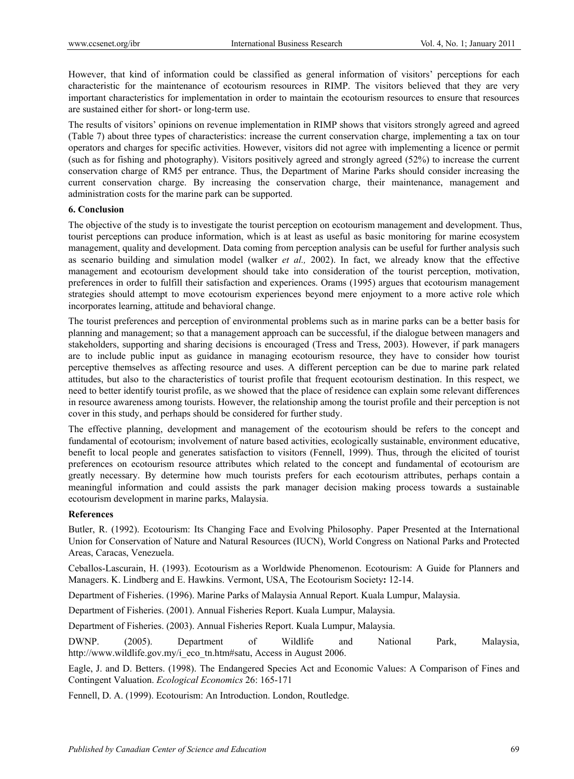However, that kind of information could be classified as general information of visitors' perceptions for each characteristic for the maintenance of ecotourism resources in RIMP. The visitors believed that they are very important characteristics for implementation in order to maintain the ecotourism resources to ensure that resources are sustained either for short- or long-term use.

The results of visitors' opinions on revenue implementation in RIMP shows that visitors strongly agreed and agreed (Table 7) about three types of characteristics: increase the current conservation charge, implementing a tax on tour operators and charges for specific activities. However, visitors did not agree with implementing a licence or permit (such as for fishing and photography). Visitors positively agreed and strongly agreed (52%) to increase the current conservation charge of RM5 per entrance. Thus, the Department of Marine Parks should consider increasing the current conservation charge. By increasing the conservation charge, their maintenance, management and administration costs for the marine park can be supported.

## **6. Conclusion**

The objective of the study is to investigate the tourist perception on ecotourism management and development. Thus, tourist perceptions can produce information, which is at least as useful as basic monitoring for marine ecosystem management, quality and development. Data coming from perception analysis can be useful for further analysis such as scenario building and simulation model (walker *et al.,* 2002). In fact, we already know that the effective management and ecotourism development should take into consideration of the tourist perception, motivation, preferences in order to fulfill their satisfaction and experiences. Orams (1995) argues that ecotourism management strategies should attempt to move ecotourism experiences beyond mere enjoyment to a more active role which incorporates learning, attitude and behavioral change.

The tourist preferences and perception of environmental problems such as in marine parks can be a better basis for planning and management; so that a management approach can be successful, if the dialogue between managers and stakeholders, supporting and sharing decisions is encouraged (Tress and Tress, 2003). However, if park managers are to include public input as guidance in managing ecotourism resource, they have to consider how tourist perceptive themselves as affecting resource and uses. A different perception can be due to marine park related attitudes, but also to the characteristics of tourist profile that frequent ecotourism destination. In this respect, we need to better identify tourist profile, as we showed that the place of residence can explain some relevant differences in resource awareness among tourists. However, the relationship among the tourist profile and their perception is not cover in this study, and perhaps should be considered for further study.

The effective planning, development and management of the ecotourism should be refers to the concept and fundamental of ecotourism; involvement of nature based activities, ecologically sustainable, environment educative, benefit to local people and generates satisfaction to visitors (Fennell, 1999). Thus, through the elicited of tourist preferences on ecotourism resource attributes which related to the concept and fundamental of ecotourism are greatly necessary. By determine how much tourists prefers for each ecotourism attributes, perhaps contain a meaningful information and could assists the park manager decision making process towards a sustainable ecotourism development in marine parks, Malaysia.

#### **References**

Butler, R. (1992). Ecotourism: Its Changing Face and Evolving Philosophy. Paper Presented at the International Union for Conservation of Nature and Natural Resources (IUCN), World Congress on National Parks and Protected Areas, Caracas, Venezuela.

Ceballos-Lascurain, H. (1993). Ecotourism as a Worldwide Phenomenon. Ecotourism: A Guide for Planners and Managers. K. Lindberg and E. Hawkins. Vermont, USA, The Ecotourism Society**:** 12-14.

Department of Fisheries. (1996). Marine Parks of Malaysia Annual Report. Kuala Lumpur, Malaysia.

Department of Fisheries. (2001). Annual Fisheries Report. Kuala Lumpur, Malaysia.

Department of Fisheries. (2003). Annual Fisheries Report. Kuala Lumpur, Malaysia.

DWNP. (2005). Department of Wildlife and National Park, Malaysia, http://www.wildlife.gov.my/i\_eco\_tn.htm#satu, Access in August 2006.

Eagle, J. and D. Betters. (1998). The Endangered Species Act and Economic Values: A Comparison of Fines and Contingent Valuation. *Ecological Economics* 26: 165-171

Fennell, D. A. (1999). Ecotourism: An Introduction. London, Routledge.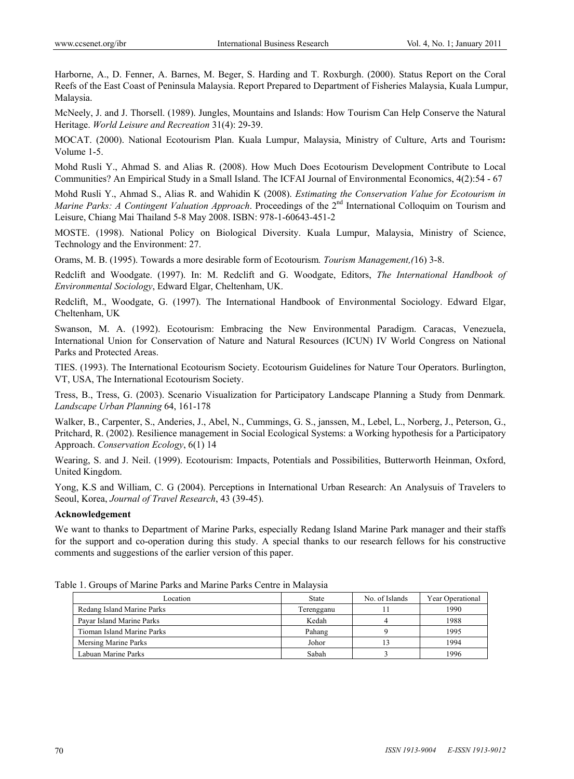Harborne, A., D. Fenner, A. Barnes, M. Beger, S. Harding and T. Roxburgh. (2000). Status Report on the Coral Reefs of the East Coast of Peninsula Malaysia. Report Prepared to Department of Fisheries Malaysia, Kuala Lumpur, Malaysia.

McNeely, J. and J. Thorsell. (1989). Jungles, Mountains and Islands: How Tourism Can Help Conserve the Natural Heritage. *World Leisure and Recreation* 31(4): 29-39.

MOCAT. (2000). National Ecotourism Plan. Kuala Lumpur, Malaysia, Ministry of Culture, Arts and Tourism**:**  Volume 1-5.

Mohd Rusli Y., Ahmad S. and Alias R. (2008). How Much Does Ecotourism Development Contribute to Local Communities? An Empirical Study in a Small Island. The ICFAI Journal of Environmental Economics, 4(2):54 - 67

Mohd Rusli Y., Ahmad S., Alias R. and Wahidin K (2008). *Estimating the Conservation Value for Ecotourism in Marine Parks: A Contingent Valuation Approach.* Proceedings of the 2<sup>nd</sup> International Colloquim on Tourism and Leisure, Chiang Mai Thailand 5-8 May 2008. ISBN: 978-1-60643-451-2

MOSTE. (1998). National Policy on Biological Diversity. Kuala Lumpur, Malaysia, Ministry of Science, Technology and the Environment: 27.

Orams, M. B. (1995). Towards a more desirable form of Ecotourism*. Tourism Management,(*16) 3-8.

Redclift and Woodgate. (1997). In: M. Redclift and G. Woodgate, Editors, *The International Handbook of Environmental Sociology*, Edward Elgar, Cheltenham, UK.

Redclift, M., Woodgate, G. (1997). The International Handbook of Environmental Sociology. Edward Elgar, Cheltenham, UK

Swanson, M. A. (1992). Ecotourism: Embracing the New Environmental Paradigm. Caracas, Venezuela, International Union for Conservation of Nature and Natural Resources (ICUN) IV World Congress on National Parks and Protected Areas.

TIES. (1993). The International Ecotourism Society. Ecotourism Guidelines for Nature Tour Operators. Burlington, VT, USA, The International Ecotourism Society.

Tress, B., Tress, G. (2003). Scenario Visualization for Participatory Landscape Planning a Study from Denmark*. Landscape Urban Planning* 64, 161-178

Walker, B., Carpenter, S., Anderies, J., Abel, N., Cummings, G. S., janssen, M., Lebel, L., Norberg, J., Peterson, G., Pritchard, R. (2002). Resilience management in Social Ecological Systems: a Working hypothesis for a Participatory Approach. *Conservation Ecology*, 6(1) 14

Wearing, S. and J. Neil. (1999). Ecotourism: Impacts, Potentials and Possibilities, Butterworth Heinman, Oxford, United Kingdom.

Yong, K.S and William, C. G (2004). Perceptions in International Urban Research: An Analysuis of Travelers to Seoul, Korea, *Journal of Travel Research*, 43 (39-45).

## **Acknowledgement**

We want to thanks to Department of Marine Parks, especially Redang Island Marine Park manager and their staffs for the support and co-operation during this study. A special thanks to our research fellows for his constructive comments and suggestions of the earlier version of this paper.

| Location                   | <b>State</b> | No. of Islands | Year Operational |
|----------------------------|--------------|----------------|------------------|
| Redang Island Marine Parks | Terengganu   |                | 1990             |
| Payar Island Marine Parks  | Kedah        |                | 1988             |
| Tioman Island Marine Parks | Pahang       |                | 1995             |
| Mersing Marine Parks       | Johor        |                | 1994             |
| Labuan Marine Parks        | Sabah        |                | 1996             |

Table 1. Groups of Marine Parks and Marine Parks Centre in Malaysia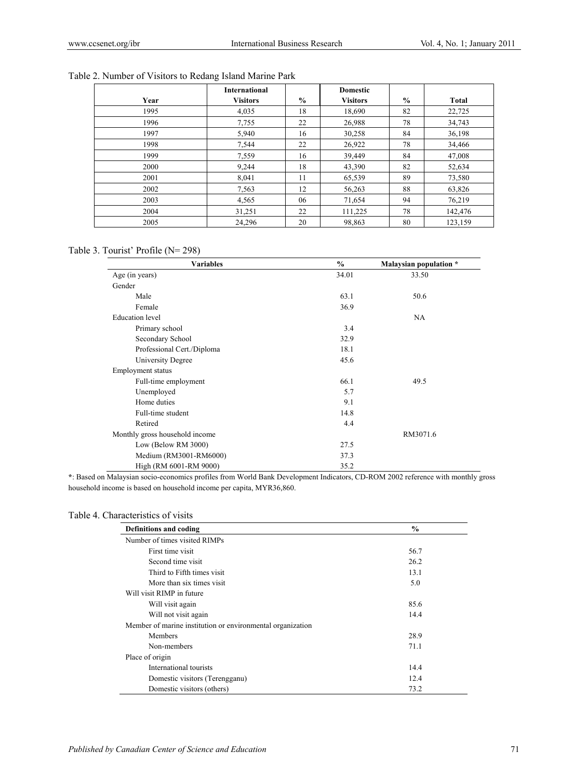| Table 2. Number of Visitors to Redang Island Marine Park |  |
|----------------------------------------------------------|--|
|----------------------------------------------------------|--|

|      | <b>International</b> |               | <b>Domestic</b> |               |              |
|------|----------------------|---------------|-----------------|---------------|--------------|
| Year | <b>Visitors</b>      | $\frac{6}{9}$ | <b>Visitors</b> | $\frac{6}{6}$ | <b>Total</b> |
| 1995 | 4,035                | 18            | 18,690          | 82            | 22,725       |
| 1996 | 7.755                | 22            | 26,988          | 78            | 34,743       |
| 1997 | 5,940                | 16            | 30,258          | 84            | 36,198       |
| 1998 | 7,544                | 22            | 26,922          | 78            | 34,466       |
| 1999 | 7,559                | 16            | 39,449          | 84            | 47,008       |
| 2000 | 9,244                | 18            | 43,390          | 82            | 52,634       |
| 2001 | 8,041                | 11            | 65,539          | 89            | 73,580       |
| 2002 | 7,563                | 12            | 56,263          | 88            | 63,826       |
| 2003 | 4,565                | 06            | 71,654          | 94            | 76,219       |
| 2004 | 31,251               | 22            | 111,225         | 78            | 142,476      |
| 2005 | 24.296               | 20            | 98.863          | 80            | 123.159      |

## Table 3. Tourist' Profile (N= 298)

| <b>Variables</b>               | $\%$  | Malaysian population * |
|--------------------------------|-------|------------------------|
| Age (in years)                 | 34.01 | 33.50                  |
| Gender                         |       |                        |
| Male                           | 63.1  | 50.6                   |
| Female                         | 36.9  |                        |
| <b>Education</b> level         |       | NA                     |
| Primary school                 | 3.4   |                        |
| Secondary School               | 32.9  |                        |
| Professional Cert./Diploma     | 18.1  |                        |
| University Degree              | 45.6  |                        |
| Employment status              |       |                        |
| Full-time employment           | 66.1  | 49.5                   |
| Unemployed                     | 5.7   |                        |
| Home duties                    | 9.1   |                        |
| Full-time student              | 14.8  |                        |
| Retired                        | 4.4   |                        |
| Monthly gross household income |       | RM3071.6               |
| Low (Below RM 3000)            | 27.5  |                        |
| Medium (RM3001-RM6000)         | 37.3  |                        |
| High (RM 6001-RM 9000)         | 35.2  |                        |

**\***: Based on Malaysian socio-economics profiles from World Bank Development Indicators, CD-ROM 2002 reference with monthly gross household income is based on household income per capita, MYR36,860.

## Table 4. Characteristics of visits

| Definitions and coding                                     | $\%$ |
|------------------------------------------------------------|------|
| Number of times visited RIMPs                              |      |
| First time visit                                           | 56.7 |
| Second time visit                                          | 26.2 |
| Third to Fifth times visit                                 | 13.1 |
| More than six times visit                                  | 5.0  |
| Will visit RIMP in future                                  |      |
| Will visit again                                           | 85.6 |
| Will not visit again                                       | 14.4 |
| Member of marine institution or environmental organization |      |
| Members                                                    | 28.9 |
| Non-members                                                | 71.1 |
| Place of origin                                            |      |
| International tourists                                     | 14.4 |
| Domestic visitors (Terengganu)                             | 12.4 |
| Domestic visitors (others)                                 | 73.2 |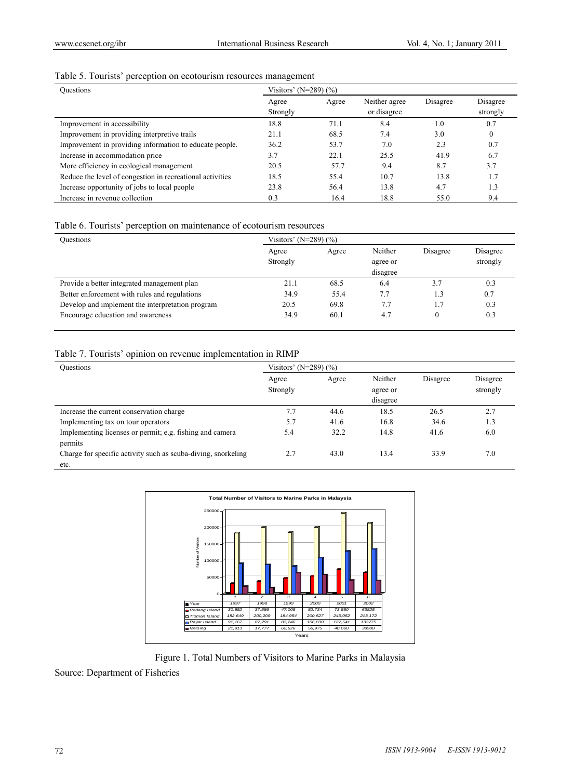|  | Table 5. Tourists' perception on ecotourism resources management |  |
|--|------------------------------------------------------------------|--|
|  |                                                                  |  |
|  |                                                                  |  |

| Ouestions                                                 | Visitors' (N=289) $(\% )$ |       |               |          |          |
|-----------------------------------------------------------|---------------------------|-------|---------------|----------|----------|
|                                                           | Agree                     | Agree | Neither agree | Disagree | Disagree |
|                                                           | Strongly                  |       | or disagree   |          | strongly |
| Improvement in accessibility                              | 18.8                      | 71.1  | 8.4           | 1.0      | 0.7      |
| Improvement in providing interpretive trails              | 21.1                      | 68.5  | 7.4           | 3.0      | $\theta$ |
| Improvement in providing information to educate people.   | 36.2                      | 53.7  | 7.0           | 2.3      | 0.7      |
| Increase in accommodation price                           | 3.7                       | 22.1  | 25.5          | 41.9     | 6.7      |
| More efficiency in ecological management                  | 20.5                      | 57.7  | 9.4           | 8.7      | 3.7      |
| Reduce the level of congestion in recreational activities | 18.5                      | 55.4  | 10.7          | 13.8     | 1.7      |
| Increase opportunity of jobs to local people              | 23.8                      | 56.4  | 13.8          | 4.7      | 1.3      |
| Increase in revenue collection                            | 0.3                       | 16.4  | 18.8          | 55.0     | 9.4      |

## Table 6. Tourists' perception on maintenance of ecotourism resources

| <b>Ouestions</b>                                 | Visitors' (N=289) $(\% )$ |       |                                 |          |                      |  |
|--------------------------------------------------|---------------------------|-------|---------------------------------|----------|----------------------|--|
|                                                  | Agree<br>Strongly         | Agree | Neither<br>agree or<br>disagree | Disagree | Disagree<br>strongly |  |
| Provide a better integrated management plan      | 21.1                      | 68.5  | 6.4                             | 3.7      | 0.3                  |  |
| Better enforcement with rules and regulations    | 34.9                      | 55.4  | 7.7                             | 1.3      | 0.7                  |  |
| Develop and implement the interpretation program | 20.5                      | 69.8  | 7.7                             | 1.7      | 0.3                  |  |
| Encourage education and awareness                | 34.9                      | 60.1  | 4.7                             |          | 0.3                  |  |

## Table 7. Tourists' opinion on revenue implementation in RIMP

| <b>Ouestions</b>                                                      | Visitors' (N=289) $(\% )$ |       |                                 |          |                      |  |
|-----------------------------------------------------------------------|---------------------------|-------|---------------------------------|----------|----------------------|--|
|                                                                       | Agree<br>Strongly         | Agree | Neither<br>agree or<br>disagree | Disagree | Disagree<br>strongly |  |
| Increase the current conservation charge                              | 7.7                       | 44.6  | 18.5                            | 26.5     | 2.7                  |  |
| Implementing tax on tour operators                                    | 5.7                       | 41.6  | 16.8                            | 34.6     | 1.3                  |  |
| Implementing licenses or permit; e.g. fishing and camera<br>permits   | 5.4                       | 32.2  | 14.8                            | 41.6     | 6.0                  |  |
| Charge for specific activity such as scuba-diving, snorkeling<br>etc. | 2.7                       | 43.0  | 13.4                            | 33.9     | 7.0                  |  |



Figure 1. Total Numbers of Visitors to Marine Parks in Malaysia

Source: Department of Fisheries